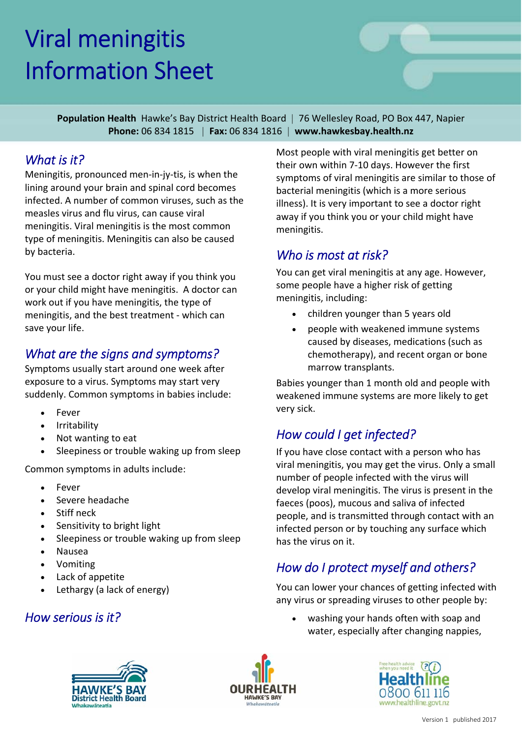# Viral meningitis Information Sheet

**Population Health** Hawke's Bay District Health Board | 76 Wellesley Road, PO Box 447, Napier **Phone:** 06 834 1815 | **Fax:** 06 834 1816 | **www.hawkesbay.health.nz**

#### *What is it?*

Meningitis, pronounced men‐in‐jy‐tis, is when the lining around your brain and spinal cord becomes infected. A number of common viruses, such as the measles virus and flu virus, can cause viral meningitis. Viral meningitis is the most common type of meningitis. Meningitis can also be caused by bacteria.

You must see a doctor right away if you think you or your child might have meningitis. A doctor can work out if you have meningitis, the type of meningitis, and the best treatment ‐ which can save your life.

#### *What are the signs and symptoms?*

Symptoms usually start around one week after exposure to a virus. Symptoms may start very suddenly. Common symptoms in babies include:

- Fever
- Irritability
- Not wanting to eat
- Sleepiness or trouble waking up from sleep

Common symptoms in adults include:

- Fever
- Severe headache
- Stiff neck
- Sensitivity to bright light
- Sleepiness or trouble waking up from sleep
- Nausea
- Vomiting
- Lack of appetite
- Lethargy (a lack of energy)

#### *How serious is it?*

Most people with viral meningitis get better on their own within 7‐10 days. However the first symptoms of viral meningitis are similar to those of bacterial meningitis (which is a more serious illness). It is very important to see a doctor right away if you think you or your child might have meningitis.

#### *Who is most at risk?*

You can get viral meningitis at any age. However, some people have a higher risk of getting meningitis, including:

- children younger than 5 years old
- people with weakened immune systems caused by diseases, medications (such as chemotherapy), and recent organ or bone marrow transplants.

Babies younger than 1 month old and people with weakened immune systems are more likely to get very sick.

# *How could I get infected?*

If you have close contact with a person who has viral meningitis, you may get the virus. Only a small number of people infected with the virus will develop viral meningitis. The virus is present in the faeces (poos), mucous and saliva of infected people, and is transmitted through contact with an infected person or by touching any surface which has the virus on it.

# *How do I protect myself and others?*

You can lower your chances of getting infected with any virus or spreading viruses to other people by:

 washing your hands often with soap and water, especially after changing nappies,